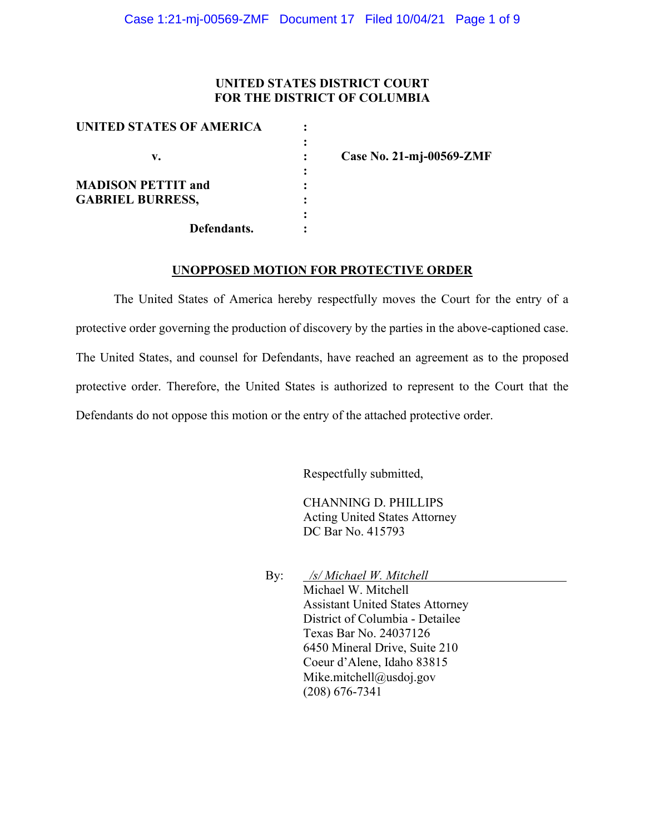# **UNITED STATES DISTRICT COURT FOR THE DISTRICT OF COLUMBIA**

| UNITED STATES OF AMERICA  |  |
|---------------------------|--|
|                           |  |
| v.                        |  |
|                           |  |
| <b>MADISON PETTIT and</b> |  |
| <b>GABRIEL BURRESS,</b>   |  |
|                           |  |
| Defendants.               |  |

**v. : Case No. 21-mj-00569-ZMF**

#### **UNOPPOSED MOTION FOR PROTECTIVE ORDER**

The United States of America hereby respectfully moves the Court for the entry of a protective order governing the production of discovery by the parties in the above-captioned case. The United States, and counsel for Defendants, have reached an agreement as to the proposed protective order. Therefore, the United States is authorized to represent to the Court that the Defendants do not oppose this motion or the entry of the attached protective order.

Respectfully submitted,

CHANNING D. PHILLIPS Acting United States Attorney DC Bar No. 415793

By: */s/ Michael W. Mitchell* Michael W. Mitchell Assistant United States Attorney District of Columbia - Detailee Texas Bar No. 24037126 6450 Mineral Drive, Suite 210 Coeur d'Alene, Idaho 83815 Mike.mitchell@usdoj.gov (208) 676-7341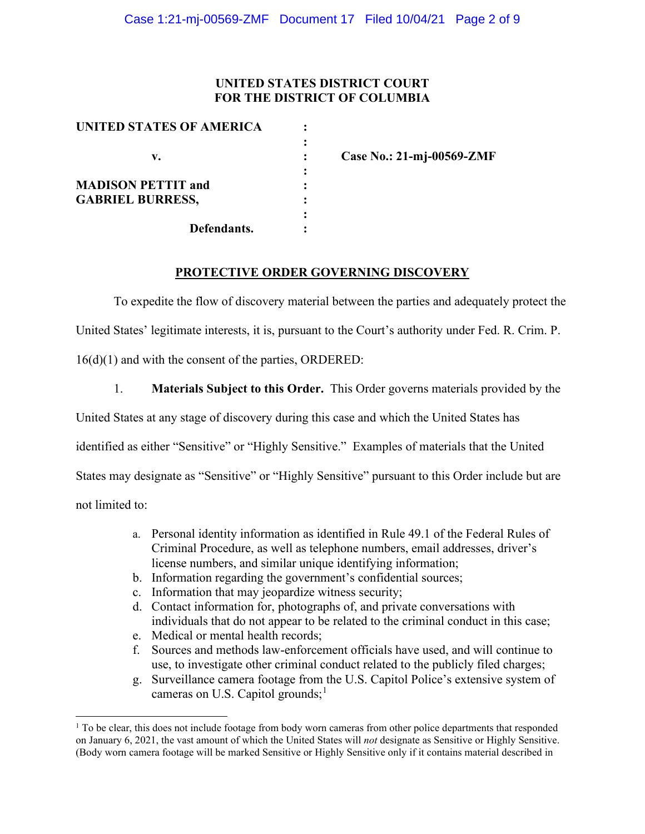# **UNITED STATES DISTRICT COURT FOR THE DISTRICT OF COLUMBIA**

| UNITED STATES OF AMERICA  |  |
|---------------------------|--|
|                           |  |
| v.                        |  |
|                           |  |
| <b>MADISON PETTIT and</b> |  |
| <b>GABRIEL BURRESS,</b>   |  |
|                           |  |
| Defendants.               |  |

**v. : Case No.: 21-mj-00569-ZMF**

# **PROTECTIVE ORDER GOVERNING DISCOVERY**

To expedite the flow of discovery material between the parties and adequately protect the United States' legitimate interests, it is, pursuant to the Court's authority under Fed. R. Crim. P. 16(d)(1) and with the consent of the parties, ORDERED:

1. **Materials Subject to this Order.** This Order governs materials provided by the

United States at any stage of discovery during this case and which the United States has

identified as either "Sensitive" or "Highly Sensitive." Examples of materials that the United

States may designate as "Sensitive" or "Highly Sensitive" pursuant to this Order include but are

not limited to:

- a. Personal identity information as identified in Rule 49.1 of the Federal Rules of Criminal Procedure, as well as telephone numbers, email addresses, driver's license numbers, and similar unique identifying information;
- b. Information regarding the government's confidential sources;
- c. Information that may jeopardize witness security;
- d. Contact information for, photographs of, and private conversations with individuals that do not appear to be related to the criminal conduct in this case;
- e. Medical or mental health records;
- f. Sources and methods law-enforcement officials have used, and will continue to use, to investigate other criminal conduct related to the publicly filed charges;
- g. Surveillance camera footage from the U.S. Capitol Police's extensive system of cameras on U.S. Capitol grounds;<sup>1</sup>

 $1$  To be clear, this does not include footage from body worn cameras from other police departments that responded on January 6, 2021, the vast amount of which the United States will *not* designate as Sensitive or Highly Sensitive. (Body worn camera footage will be marked Sensitive or Highly Sensitive only if it contains material described in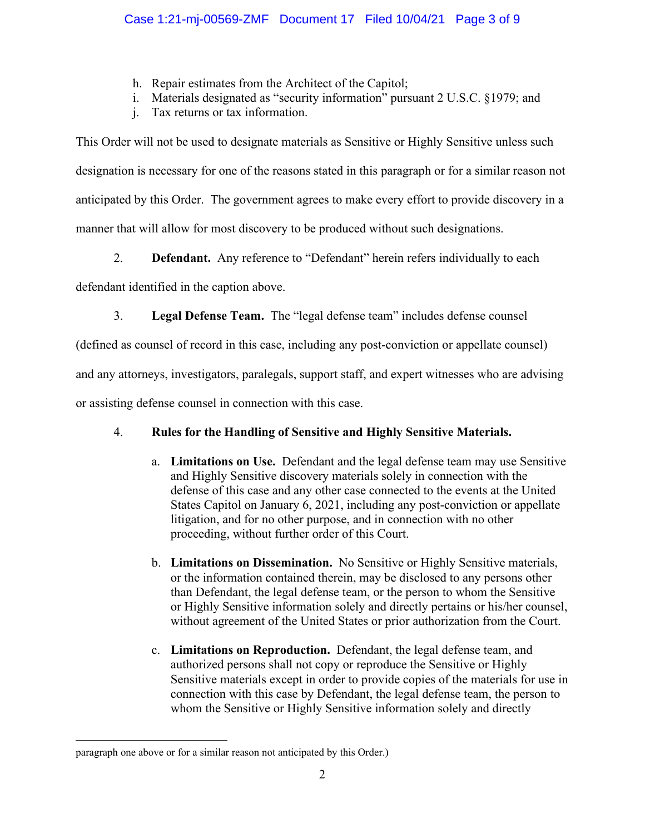- h. Repair estimates from the Architect of the Capitol;
- i. Materials designated as "security information" pursuant 2 U.S.C. §1979; and
- j. Tax returns or tax information.

This Order will not be used to designate materials as Sensitive or Highly Sensitive unless such designation is necessary for one of the reasons stated in this paragraph or for a similar reason not anticipated by this Order. The government agrees to make every effort to provide discovery in a manner that will allow for most discovery to be produced without such designations.

2. **Defendant.** Any reference to "Defendant" herein refers individually to each

defendant identified in the caption above.

3. **Legal Defense Team.** The "legal defense team" includes defense counsel

(defined as counsel of record in this case, including any post-conviction or appellate counsel)

and any attorneys, investigators, paralegals, support staff, and expert witnesses who are advising

or assisting defense counsel in connection with this case.

# 4. **Rules for the Handling of Sensitive and Highly Sensitive Materials.**

- a. **Limitations on Use.** Defendant and the legal defense team may use Sensitive and Highly Sensitive discovery materials solely in connection with the defense of this case and any other case connected to the events at the United States Capitol on January 6, 2021, including any post-conviction or appellate litigation, and for no other purpose, and in connection with no other proceeding, without further order of this Court.
- b. **Limitations on Dissemination.** No Sensitive or Highly Sensitive materials, or the information contained therein, may be disclosed to any persons other than Defendant, the legal defense team, or the person to whom the Sensitive or Highly Sensitive information solely and directly pertains or his/her counsel, without agreement of the United States or prior authorization from the Court.
- c. **Limitations on Reproduction.** Defendant, the legal defense team, and authorized persons shall not copy or reproduce the Sensitive or Highly Sensitive materials except in order to provide copies of the materials for use in connection with this case by Defendant, the legal defense team, the person to whom the Sensitive or Highly Sensitive information solely and directly

paragraph one above or for a similar reason not anticipated by this Order.)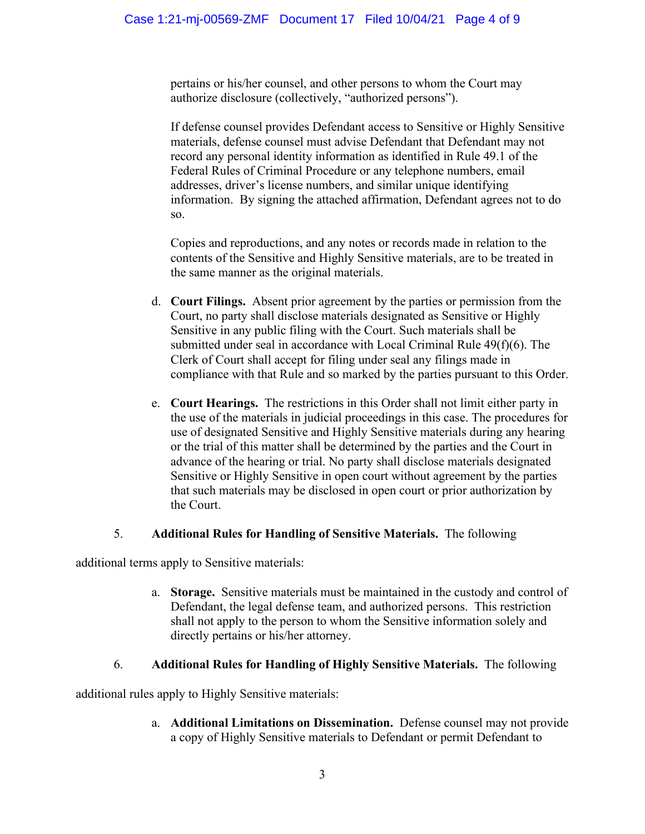pertains or his/her counsel, and other persons to whom the Court may authorize disclosure (collectively, "authorized persons").

If defense counsel provides Defendant access to Sensitive or Highly Sensitive materials, defense counsel must advise Defendant that Defendant may not record any personal identity information as identified in Rule 49.1 of the Federal Rules of Criminal Procedure or any telephone numbers, email addresses, driver's license numbers, and similar unique identifying information. By signing the attached affirmation, Defendant agrees not to do so.

Copies and reproductions, and any notes or records made in relation to the contents of the Sensitive and Highly Sensitive materials, are to be treated in the same manner as the original materials.

- d. **Court Filings.** Absent prior agreement by the parties or permission from the Court, no party shall disclose materials designated as Sensitive or Highly Sensitive in any public filing with the Court. Such materials shall be submitted under seal in accordance with Local Criminal Rule 49(f)(6). The Clerk of Court shall accept for filing under seal any filings made in compliance with that Rule and so marked by the parties pursuant to this Order.
- e. **Court Hearings.** The restrictions in this Order shall not limit either party in the use of the materials in judicial proceedings in this case. The procedures for use of designated Sensitive and Highly Sensitive materials during any hearing or the trial of this matter shall be determined by the parties and the Court in advance of the hearing or trial. No party shall disclose materials designated Sensitive or Highly Sensitive in open court without agreement by the parties that such materials may be disclosed in open court or prior authorization by the Court.

# 5. **Additional Rules for Handling of Sensitive Materials.** The following

additional terms apply to Sensitive materials:

a. **Storage.** Sensitive materials must be maintained in the custody and control of Defendant, the legal defense team, and authorized persons. This restriction shall not apply to the person to whom the Sensitive information solely and directly pertains or his/her attorney.

# 6. **Additional Rules for Handling of Highly Sensitive Materials.** The following

additional rules apply to Highly Sensitive materials:

a. **Additional Limitations on Dissemination.** Defense counsel may not provide a copy of Highly Sensitive materials to Defendant or permit Defendant to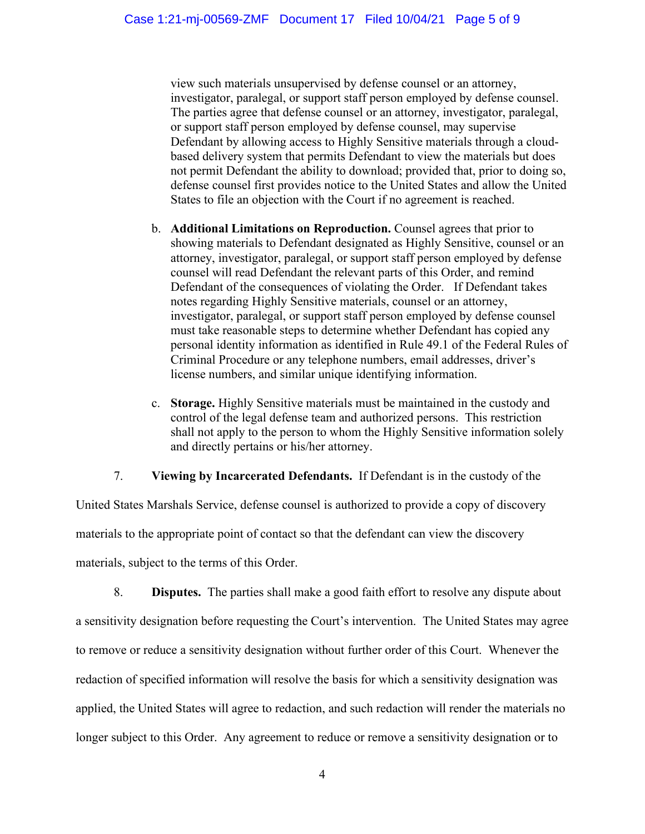view such materials unsupervised by defense counsel or an attorney, investigator, paralegal, or support staff person employed by defense counsel. The parties agree that defense counsel or an attorney, investigator, paralegal, or support staff person employed by defense counsel, may supervise Defendant by allowing access to Highly Sensitive materials through a cloudbased delivery system that permits Defendant to view the materials but does not permit Defendant the ability to download; provided that, prior to doing so, defense counsel first provides notice to the United States and allow the United States to file an objection with the Court if no agreement is reached.

- b. **Additional Limitations on Reproduction.** Counsel agrees that prior to showing materials to Defendant designated as Highly Sensitive, counsel or an attorney, investigator, paralegal, or support staff person employed by defense counsel will read Defendant the relevant parts of this Order, and remind Defendant of the consequences of violating the Order. If Defendant takes notes regarding Highly Sensitive materials, counsel or an attorney, investigator, paralegal, or support staff person employed by defense counsel must take reasonable steps to determine whether Defendant has copied any personal identity information as identified in Rule 49.1 of the Federal Rules of Criminal Procedure or any telephone numbers, email addresses, driver's license numbers, and similar unique identifying information.
- c. **Storage.** Highly Sensitive materials must be maintained in the custody and control of the legal defense team and authorized persons. This restriction shall not apply to the person to whom the Highly Sensitive information solely and directly pertains or his/her attorney.

# 7. **Viewing by Incarcerated Defendants.** If Defendant is in the custody of the

United States Marshals Service, defense counsel is authorized to provide a copy of discovery materials to the appropriate point of contact so that the defendant can view the discovery materials, subject to the terms of this Order.

8. **Disputes.** The parties shall make a good faith effort to resolve any dispute about a sensitivity designation before requesting the Court's intervention. The United States may agree to remove or reduce a sensitivity designation without further order of this Court. Whenever the redaction of specified information will resolve the basis for which a sensitivity designation was applied, the United States will agree to redaction, and such redaction will render the materials no longer subject to this Order. Any agreement to reduce or remove a sensitivity designation or to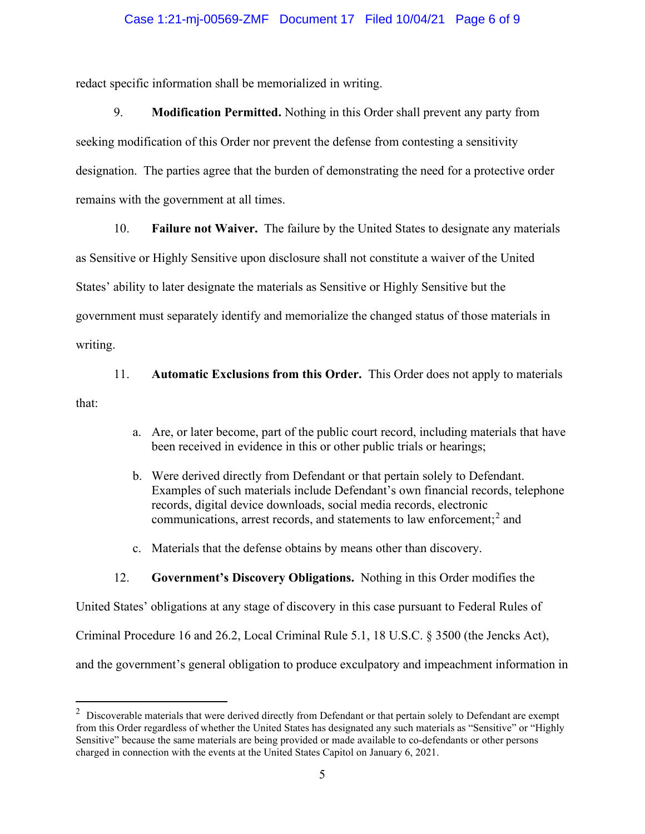### Case 1:21-mj-00569-ZMF Document 17 Filed 10/04/21 Page 6 of 9

redact specific information shall be memorialized in writing.

9. **Modification Permitted.** Nothing in this Order shall prevent any party from seeking modification of this Order nor prevent the defense from contesting a sensitivity designation. The parties agree that the burden of demonstrating the need for a protective order remains with the government at all times.

10. **Failure not Waiver.** The failure by the United States to designate any materials

as Sensitive or Highly Sensitive upon disclosure shall not constitute a waiver of the United States' ability to later designate the materials as Sensitive or Highly Sensitive but the

government must separately identify and memorialize the changed status of those materials in

writing.

11. **Automatic Exclusions from this Order.** This Order does not apply to materials

that:

- a. Are, or later become, part of the public court record, including materials that have been received in evidence in this or other public trials or hearings;
- b. Were derived directly from Defendant or that pertain solely to Defendant. Examples of such materials include Defendant's own financial records, telephone records, digital device downloads, social media records, electronic communications, arrest records, and statements to law enforcement; <sup>2</sup> and
- c. Materials that the defense obtains by means other than discovery.

#### 12. **Government's Discovery Obligations.** Nothing in this Order modifies the

United States' obligations at any stage of discovery in this case pursuant to Federal Rules of Criminal Procedure 16 and 26.2, Local Criminal Rule 5.1, 18 U.S.C. § 3500 (the Jencks Act), and the government's general obligation to produce exculpatory and impeachment information in

 $2$  Discoverable materials that were derived directly from Defendant or that pertain solely to Defendant are exempt from this Order regardless of whether the United States has designated any such materials as "Sensitive" or "Highly Sensitive" because the same materials are being provided or made available to co-defendants or other persons charged in connection with the events at the United States Capitol on January 6, 2021.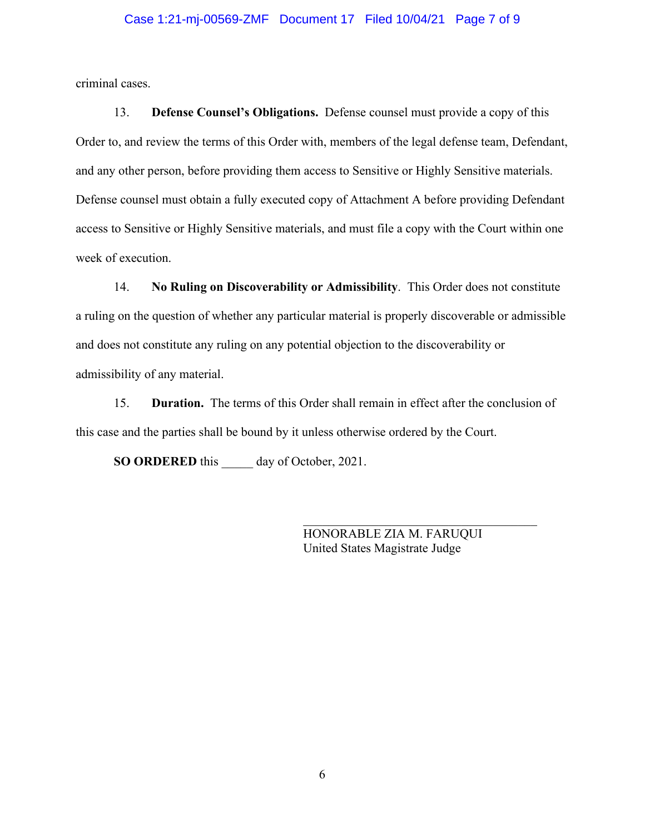#### Case 1:21-mj-00569-ZMF Document 17 Filed 10/04/21 Page 7 of 9

criminal cases.

13. **Defense Counsel's Obligations.** Defense counsel must provide a copy of this Order to, and review the terms of this Order with, members of the legal defense team, Defendant, and any other person, before providing them access to Sensitive or Highly Sensitive materials. Defense counsel must obtain a fully executed copy of Attachment A before providing Defendant access to Sensitive or Highly Sensitive materials, and must file a copy with the Court within one week of execution.

14. **No Ruling on Discoverability or Admissibility**. This Order does not constitute a ruling on the question of whether any particular material is properly discoverable or admissible and does not constitute any ruling on any potential objection to the discoverability or admissibility of any material.

15. **Duration.** The terms of this Order shall remain in effect after the conclusion of this case and the parties shall be bound by it unless otherwise ordered by the Court.

**SO ORDERED** this day of October, 2021.

HONORABLE ZIA M. FARUQUI United States Magistrate Judge

\_\_\_\_\_\_\_\_\_\_\_\_\_\_\_\_\_\_\_\_\_\_\_\_\_\_\_\_\_\_\_\_\_\_\_\_\_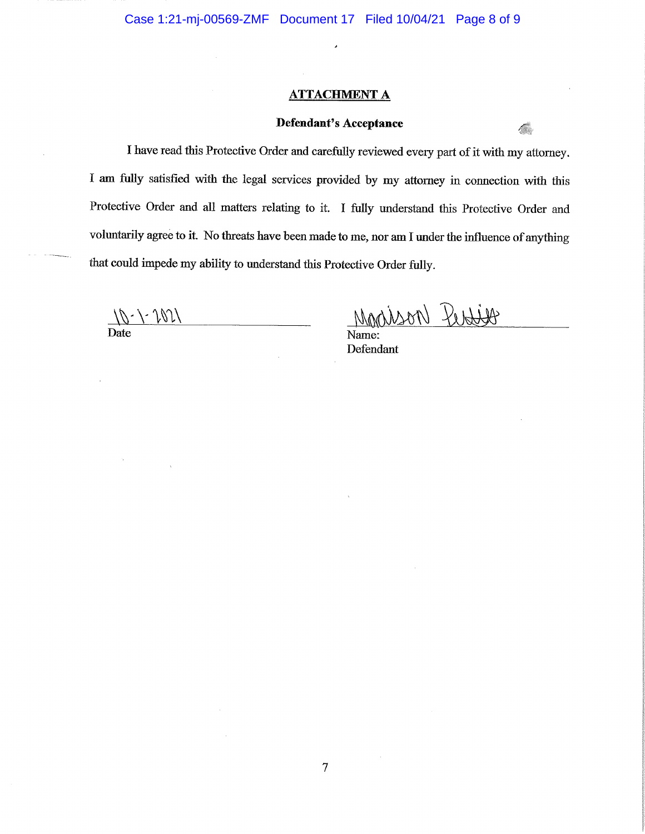#### **ATTACHMENT A**

# Defendant's Acceptance

I have read this Protective Order and carefully reviewed every part of it with my attorney. I am fully satisfied with the legal services provided by my attorney in connection with this Protective Order and all matters relating to it. I fully understand this Protective Order and voluntarily agree to it. No threats have been made to me, nor am I under the influence of anything that could impede my ability to understand this Protective Order fully.

 $\overline{7}$ 

 $\frac{1}{\sqrt{2}}$ 

Mondison Rentiso

Name: Defendant